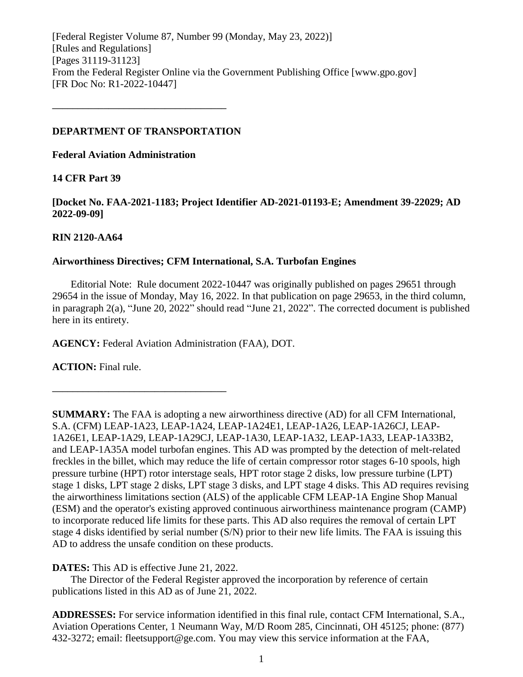[Federal Register Volume 87, Number 99 (Monday, May 23, 2022)] [Rules and Regulations] [Pages 31119-31123] From the Federal Register Online via the Government Publishing Office [www.gpo.gov] [FR Doc No: R1-2022-10447]

## **DEPARTMENT OF TRANSPORTATION**

**––––––––––––––––––––––––––––––––––**

**Federal Aviation Administration**

# **14 CFR Part 39**

**[Docket No. FAA-2021-1183; Project Identifier AD-2021-01193-E; Amendment 39-22029; AD 2022-09-09]**

# **RIN 2120-AA64**

# **Airworthiness Directives; CFM International, S.A. Turbofan Engines**

Editorial Note: Rule document 2022-10447 was originally published on pages 29651 through 29654 in the issue of Monday, May 16, 2022. In that publication on page 29653, in the third column, in paragraph 2(a), "June 20, 2022" should read "June 21, 2022". The corrected document is published here in its entirety.

**AGENCY:** Federal Aviation Administration (FAA), DOT.

**ACTION:** Final rule.

**SUMMARY:** The FAA is adopting a new airworthiness directive (AD) for all CFM International, S.A. (CFM) LEAP-1A23, LEAP-1A24, LEAP-1A24E1, LEAP-1A26, LEAP-1A26CJ, LEAP-1A26E1, LEAP-1A29, LEAP-1A29CJ, LEAP-1A30, LEAP-1A32, LEAP-1A33, LEAP-1A33B2, and LEAP-1A35A model turbofan engines. This AD was prompted by the detection of melt-related freckles in the billet, which may reduce the life of certain compressor rotor stages 6-10 spools, high pressure turbine (HPT) rotor interstage seals, HPT rotor stage 2 disks, low pressure turbine (LPT) stage 1 disks, LPT stage 2 disks, LPT stage 3 disks, and LPT stage 4 disks. This AD requires revising the airworthiness limitations section (ALS) of the applicable CFM LEAP-1A Engine Shop Manual (ESM) and the operator's existing approved continuous airworthiness maintenance program (CAMP) to incorporate reduced life limits for these parts. This AD also requires the removal of certain LPT stage 4 disks identified by serial number (S/N) prior to their new life limits. The FAA is issuing this AD to address the unsafe condition on these products.

# **DATES:** This AD is effective June 21, 2022.

**––––––––––––––––––––––––––––––––––**

The Director of the Federal Register approved the incorporation by reference of certain publications listed in this AD as of June 21, 2022.

**ADDRESSES:** For service information identified in this final rule, contact CFM International, S.A., Aviation Operations Center, 1 Neumann Way, M/D Room 285, Cincinnati, OH 45125; phone: (877) 432-3272; email: fleetsupport@ge.com. You may view this service information at the FAA,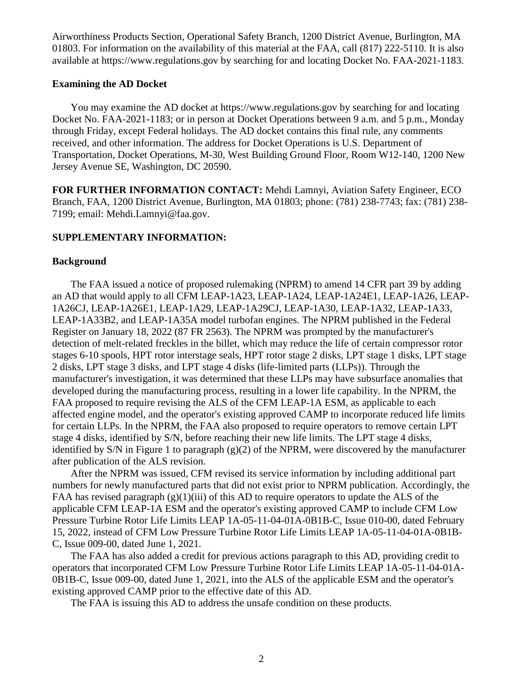Airworthiness Products Section, Operational Safety Branch, 1200 District Avenue, Burlington, MA 01803. For information on the availability of this material at the FAA, call (817) 222-5110. It is also available at https://www.regulations.gov by searching for and locating Docket No. FAA-2021-1183.

#### **Examining the AD Docket**

You may examine the AD docket at https://www.regulations.gov by searching for and locating Docket No. FAA-2021-1183; or in person at Docket Operations between 9 a.m. and 5 p.m., Monday through Friday, except Federal holidays. The AD docket contains this final rule, any comments received, and other information. The address for Docket Operations is U.S. Department of Transportation, Docket Operations, M-30, West Building Ground Floor, Room W12-140, 1200 New Jersey Avenue SE, Washington, DC 20590.

**FOR FURTHER INFORMATION CONTACT:** Mehdi Lamnyi, Aviation Safety Engineer, ECO Branch, FAA, 1200 District Avenue, Burlington, MA 01803; phone: (781) 238-7743; fax: (781) 238- 7199; email: Mehdi.Lamnyi@faa.gov.

## **SUPPLEMENTARY INFORMATION:**

#### **Background**

The FAA issued a notice of proposed rulemaking (NPRM) to amend 14 CFR part 39 by adding an AD that would apply to all CFM LEAP-1A23, LEAP-1A24, LEAP-1A24E1, LEAP-1A26, LEAP-1A26CJ, LEAP-1A26E1, LEAP-1A29, LEAP-1A29CJ, LEAP-1A30, LEAP-1A32, LEAP-1A33, LEAP-1A33B2, and LEAP-1A35A model turbofan engines. The NPRM published in the Federal Register on January 18, 2022 (87 FR 2563). The NPRM was prompted by the manufacturer's detection of melt-related freckles in the billet, which may reduce the life of certain compressor rotor stages 6-10 spools, HPT rotor interstage seals, HPT rotor stage 2 disks, LPT stage 1 disks, LPT stage 2 disks, LPT stage 3 disks, and LPT stage 4 disks (life-limited parts (LLPs)). Through the manufacturer's investigation, it was determined that these LLPs may have subsurface anomalies that developed during the manufacturing process, resulting in a lower life capability. In the NPRM, the FAA proposed to require revising the ALS of the CFM LEAP-1A ESM, as applicable to each affected engine model, and the operator's existing approved CAMP to incorporate reduced life limits for certain LLPs. In the NPRM, the FAA also proposed to require operators to remove certain LPT stage 4 disks, identified by S/N, before reaching their new life limits. The LPT stage 4 disks, identified by S/N in Figure 1 to paragraph (g)(2) of the NPRM, were discovered by the manufacturer after publication of the ALS revision.

After the NPRM was issued, CFM revised its service information by including additional part numbers for newly manufactured parts that did not exist prior to NPRM publication. Accordingly, the FAA has revised paragraph  $(g)(1)(iii)$  of this AD to require operators to update the ALS of the applicable CFM LEAP-1A ESM and the operator's existing approved CAMP to include CFM Low Pressure Turbine Rotor Life Limits LEAP 1A-05-11-04-01A-0B1B-C, Issue 010-00, dated February 15, 2022, instead of CFM Low Pressure Turbine Rotor Life Limits LEAP 1A-05-11-04-01A-0B1B-C, Issue 009-00, dated June 1, 2021.

The FAA has also added a credit for previous actions paragraph to this AD, providing credit to operators that incorporated CFM Low Pressure Turbine Rotor Life Limits LEAP 1A-05-11-04-01A-0B1B-C, Issue 009-00, dated June 1, 2021, into the ALS of the applicable ESM and the operator's existing approved CAMP prior to the effective date of this AD.

The FAA is issuing this AD to address the unsafe condition on these products.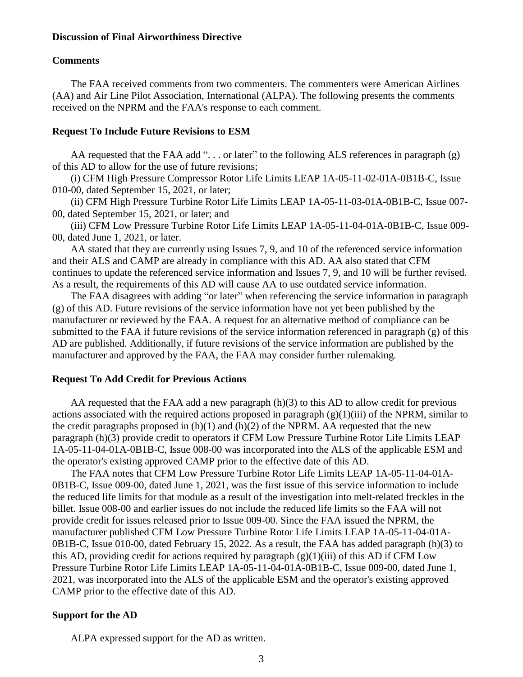### **Discussion of Final Airworthiness Directive**

#### **Comments**

The FAA received comments from two commenters. The commenters were American Airlines (AA) and Air Line Pilot Association, International (ALPA). The following presents the comments received on the NPRM and the FAA's response to each comment.

#### **Request To Include Future Revisions to ESM**

AA requested that the FAA add "... or later" to the following ALS references in paragraph (g) of this AD to allow for the use of future revisions;

(i) CFM High Pressure Compressor Rotor Life Limits LEAP 1A-05-11-02-01A-0B1B-C, Issue 010-00, dated September 15, 2021, or later;

(ii) CFM High Pressure Turbine Rotor Life Limits LEAP 1A-05-11-03-01A-0B1B-C, Issue 007- 00, dated September 15, 2021, or later; and

(iii) CFM Low Pressure Turbine Rotor Life Limits LEAP 1A-05-11-04-01A-0B1B-C, Issue 009- 00, dated June 1, 2021, or later.

AA stated that they are currently using Issues 7, 9, and 10 of the referenced service information and their ALS and CAMP are already in compliance with this AD. AA also stated that CFM continues to update the referenced service information and Issues 7, 9, and 10 will be further revised. As a result, the requirements of this AD will cause AA to use outdated service information.

The FAA disagrees with adding "or later" when referencing the service information in paragraph (g) of this AD. Future revisions of the service information have not yet been published by the manufacturer or reviewed by the FAA. A request for an alternative method of compliance can be submitted to the FAA if future revisions of the service information referenced in paragraph (g) of this AD are published. Additionally, if future revisions of the service information are published by the manufacturer and approved by the FAA, the FAA may consider further rulemaking.

#### **Request To Add Credit for Previous Actions**

AA requested that the FAA add a new paragraph (h)(3) to this AD to allow credit for previous actions associated with the required actions proposed in paragraph  $(g)(1)(iii)$  of the NPRM, similar to the credit paragraphs proposed in  $(h)(1)$  and  $(h)(2)$  of the NPRM. AA requested that the new paragraph (h)(3) provide credit to operators if CFM Low Pressure Turbine Rotor Life Limits LEAP 1A-05-11-04-01A-0B1B-C, Issue 008-00 was incorporated into the ALS of the applicable ESM and the operator's existing approved CAMP prior to the effective date of this AD.

The FAA notes that CFM Low Pressure Turbine Rotor Life Limits LEAP 1A-05-11-04-01A-0B1B-C, Issue 009-00, dated June 1, 2021, was the first issue of this service information to include the reduced life limits for that module as a result of the investigation into melt-related freckles in the billet. Issue 008-00 and earlier issues do not include the reduced life limits so the FAA will not provide credit for issues released prior to Issue 009-00. Since the FAA issued the NPRM, the manufacturer published CFM Low Pressure Turbine Rotor Life Limits LEAP 1A-05-11-04-01A-0B1B-C, Issue 010-00, dated February 15, 2022. As a result, the FAA has added paragraph (h)(3) to this AD, providing credit for actions required by paragraph  $(g)(1)(iii)$  of this AD if CFM Low Pressure Turbine Rotor Life Limits LEAP 1A-05-11-04-01A-0B1B-C, Issue 009-00, dated June 1, 2021, was incorporated into the ALS of the applicable ESM and the operator's existing approved CAMP prior to the effective date of this AD.

## **Support for the AD**

ALPA expressed support for the AD as written.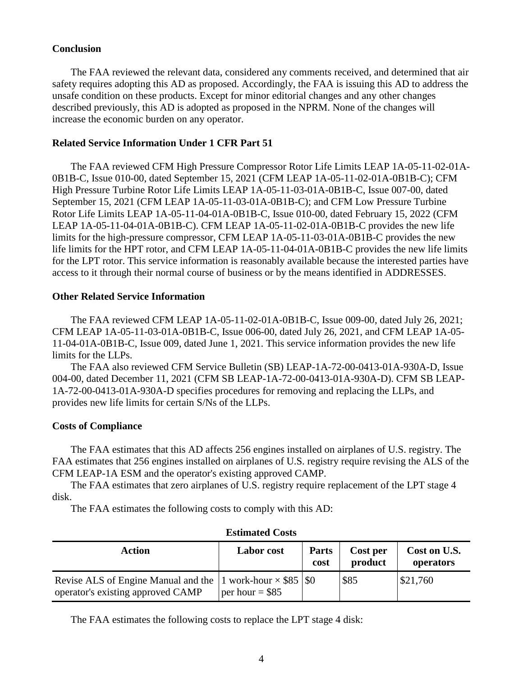## **Conclusion**

The FAA reviewed the relevant data, considered any comments received, and determined that air safety requires adopting this AD as proposed. Accordingly, the FAA is issuing this AD to address the unsafe condition on these products. Except for minor editorial changes and any other changes described previously, this AD is adopted as proposed in the NPRM. None of the changes will increase the economic burden on any operator.

## **Related Service Information Under 1 CFR Part 51**

The FAA reviewed CFM High Pressure Compressor Rotor Life Limits LEAP 1A-05-11-02-01A-0B1B-C, Issue 010-00, dated September 15, 2021 (CFM LEAP 1A-05-11-02-01A-0B1B-C); CFM High Pressure Turbine Rotor Life Limits LEAP 1A-05-11-03-01A-0B1B-C, Issue 007-00, dated September 15, 2021 (CFM LEAP 1A-05-11-03-01A-0B1B-C); and CFM Low Pressure Turbine Rotor Life Limits LEAP 1A-05-11-04-01A-0B1B-C, Issue 010-00, dated February 15, 2022 (CFM LEAP 1A-05-11-04-01A-0B1B-C). CFM LEAP 1A-05-11-02-01A-0B1B-C provides the new life limits for the high-pressure compressor, CFM LEAP 1A-05-11-03-01A-0B1B-C provides the new life limits for the HPT rotor, and CFM LEAP 1A-05-11-04-01A-0B1B-C provides the new life limits for the LPT rotor. This service information is reasonably available because the interested parties have access to it through their normal course of business or by the means identified in ADDRESSES.

## **Other Related Service Information**

The FAA reviewed CFM LEAP 1A-05-11-02-01A-0B1B-C, Issue 009-00, dated July 26, 2021; CFM LEAP 1A-05-11-03-01A-0B1B-C, Issue 006-00, dated July 26, 2021, and CFM LEAP 1A-05- 11-04-01A-0B1B-C, Issue 009, dated June 1, 2021. This service information provides the new life limits for the LLPs.

The FAA also reviewed CFM Service Bulletin (SB) LEAP-1A-72-00-0413-01A-930A-D, Issue 004-00, dated December 11, 2021 (CFM SB LEAP-1A-72-00-0413-01A-930A-D). CFM SB LEAP-1A-72-00-0413-01A-930A-D specifies procedures for removing and replacing the LLPs, and provides new life limits for certain S/Ns of the LLPs.

# **Costs of Compliance**

The FAA estimates that this AD affects 256 engines installed on airplanes of U.S. registry. The FAA estimates that 256 engines installed on airplanes of U.S. registry require revising the ALS of the CFM LEAP-1A ESM and the operator's existing approved CAMP.

The FAA estimates that zero airplanes of U.S. registry require replacement of the LPT stage 4 disk.

The FAA estimates the following costs to comply with this AD:

| Action                                                                                                      | <b>Labor</b> cost | <b>Parts</b><br>cost | Cost per<br>product | Cost on U.S.<br>operators |
|-------------------------------------------------------------------------------------------------------------|-------------------|----------------------|---------------------|---------------------------|
| Revise ALS of Engine Manual and the 1 work-hour $\times$ \$85 \\ \ \$0<br>operator's existing approved CAMP | per hour = $$85$  |                      | \$85                | \$21,760                  |

| <b>Estimated Costs</b> |  |
|------------------------|--|
|------------------------|--|

The FAA estimates the following costs to replace the LPT stage 4 disk: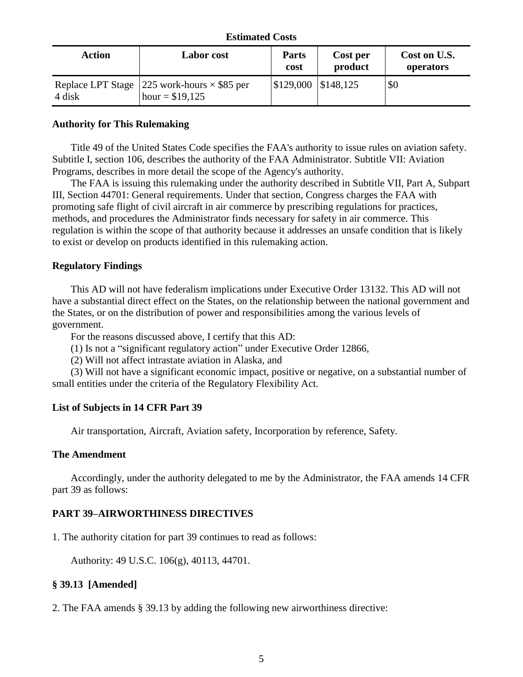### **Estimated Costs**

| Action | <b>Labor</b> cost                                                      | <b>Parts</b><br>cost              | Cost per<br>product | Cost on U.S.<br>operators |
|--------|------------------------------------------------------------------------|-----------------------------------|---------------------|---------------------------|
| 4 disk | Replace LPT Stage 225 work-hours $\times$ \$85 per<br>hour = $$19,125$ | $\mid$ \$129,000 $\mid$ \$148,125 |                     | \$0                       |

# **Authority for This Rulemaking**

Title 49 of the United States Code specifies the FAA's authority to issue rules on aviation safety. Subtitle I, section 106, describes the authority of the FAA Administrator. Subtitle VII: Aviation Programs, describes in more detail the scope of the Agency's authority.

The FAA is issuing this rulemaking under the authority described in Subtitle VII, Part A, Subpart III, Section 44701: General requirements. Under that section, Congress charges the FAA with promoting safe flight of civil aircraft in air commerce by prescribing regulations for practices, methods, and procedures the Administrator finds necessary for safety in air commerce. This regulation is within the scope of that authority because it addresses an unsafe condition that is likely to exist or develop on products identified in this rulemaking action.

# **Regulatory Findings**

This AD will not have federalism implications under Executive Order 13132. This AD will not have a substantial direct effect on the States, on the relationship between the national government and the States, or on the distribution of power and responsibilities among the various levels of government.

For the reasons discussed above, I certify that this AD:

(1) Is not a "significant regulatory action" under Executive Order 12866,

(2) Will not affect intrastate aviation in Alaska, and

(3) Will not have a significant economic impact, positive or negative, on a substantial number of small entities under the criteria of the Regulatory Flexibility Act.

# **List of Subjects in 14 CFR Part 39**

Air transportation, Aircraft, Aviation safety, Incorporation by reference, Safety.

# **The Amendment**

Accordingly, under the authority delegated to me by the Administrator, the FAA amends 14 CFR part 39 as follows:

# **PART 39–AIRWORTHINESS DIRECTIVES**

1. The authority citation for part 39 continues to read as follows:

Authority: 49 U.S.C. 106(g), 40113, 44701.

# **§ 39.13 [Amended]**

2. The FAA amends § 39.13 by adding the following new airworthiness directive: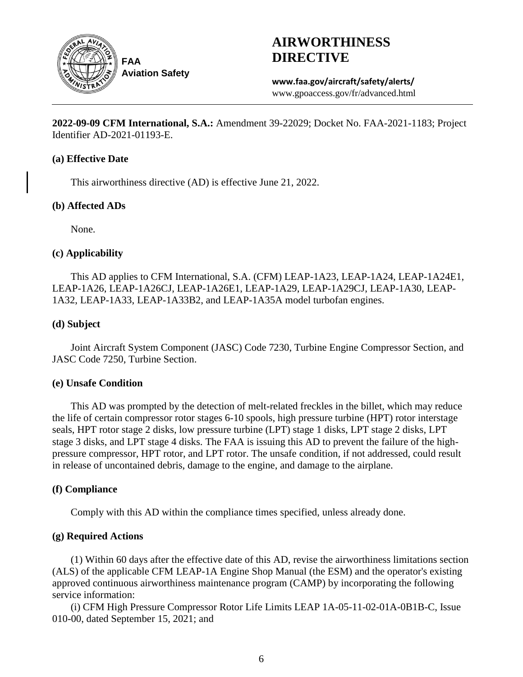

# **AIRWORTHINESS DIRECTIVE**

**www.faa.gov/aircraft/safety/alerts/** www.gpoaccess.gov/fr/advanced.html

**2022-09-09 CFM International, S.A.:** Amendment 39-22029; Docket No. FAA-2021-1183; Project Identifier AD-2021-01193-E.

## **(a) Effective Date**

This airworthiness directive (AD) is effective June 21, 2022.

# **(b) Affected ADs**

None.

# **(c) Applicability**

This AD applies to CFM International, S.A. (CFM) LEAP-1A23, LEAP-1A24, LEAP-1A24E1, LEAP-1A26, LEAP-1A26CJ, LEAP-1A26E1, LEAP-1A29, LEAP-1A29CJ, LEAP-1A30, LEAP-1A32, LEAP-1A33, LEAP-1A33B2, and LEAP-1A35A model turbofan engines.

# **(d) Subject**

Joint Aircraft System Component (JASC) Code 7230, Turbine Engine Compressor Section, and JASC Code 7250, Turbine Section.

# **(e) Unsafe Condition**

This AD was prompted by the detection of melt-related freckles in the billet, which may reduce the life of certain compressor rotor stages 6-10 spools, high pressure turbine (HPT) rotor interstage seals, HPT rotor stage 2 disks, low pressure turbine (LPT) stage 1 disks, LPT stage 2 disks, LPT stage 3 disks, and LPT stage 4 disks. The FAA is issuing this AD to prevent the failure of the highpressure compressor, HPT rotor, and LPT rotor. The unsafe condition, if not addressed, could result in release of uncontained debris, damage to the engine, and damage to the airplane.

# **(f) Compliance**

Comply with this AD within the compliance times specified, unless already done.

# **(g) Required Actions**

(1) Within 60 days after the effective date of this AD, revise the airworthiness limitations section (ALS) of the applicable CFM LEAP-1A Engine Shop Manual (the ESM) and the operator's existing approved continuous airworthiness maintenance program (CAMP) by incorporating the following service information:

(i) CFM High Pressure Compressor Rotor Life Limits LEAP 1A-05-11-02-01A-0B1B-C, Issue 010-00, dated September 15, 2021; and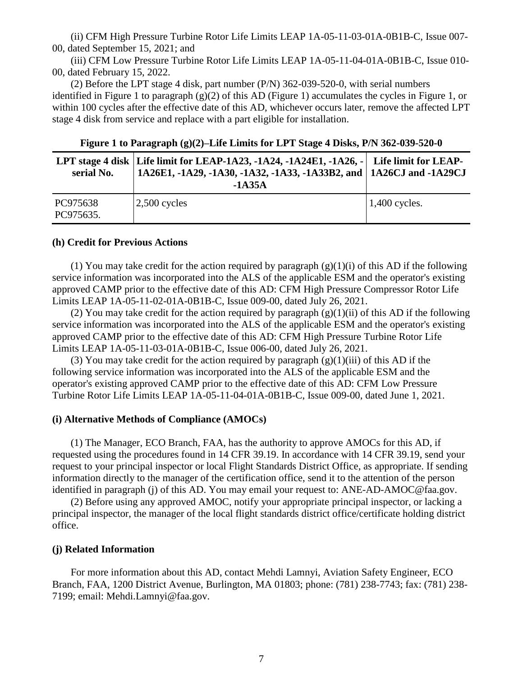(ii) CFM High Pressure Turbine Rotor Life Limits LEAP 1A-05-11-03-01A-0B1B-C, Issue 007- 00, dated September 15, 2021; and

(iii) CFM Low Pressure Turbine Rotor Life Limits LEAP 1A-05-11-04-01A-0B1B-C, Issue 010- 00, dated February 15, 2022.

(2) Before the LPT stage 4 disk, part number (P/N) 362-039-520-0, with serial numbers identified in Figure 1 to paragraph (g)(2) of this AD (Figure 1) accumulates the cycles in Figure 1, or within 100 cycles after the effective date of this AD, whichever occurs later, remove the affected LPT stage 4 disk from service and replace with a part eligible for installation.

| serial No.            | LPT stage 4 disk   Life limit for LEAP-1A23, -1A24, -1A24E1, -1A26, -   Life limit for LEAP-<br>  1A26E1, -1A29, -1A30, -1A32, -1A33, -1A33B2, and   1A26CJ and -1A29CJ<br>$-1A35A$ |                 |
|-----------------------|-------------------------------------------------------------------------------------------------------------------------------------------------------------------------------------|-----------------|
| PC975638<br>PC975635. | $ 2,500$ cycles                                                                                                                                                                     | $1,400$ cycles. |

**Figure 1 to Paragraph (g)(2)–Life Limits for LPT Stage 4 Disks, P/N 362-039-520-0**

#### **(h) Credit for Previous Actions**

(1) You may take credit for the action required by paragraph  $(g)(1)(i)$  of this AD if the following service information was incorporated into the ALS of the applicable ESM and the operator's existing approved CAMP prior to the effective date of this AD: CFM High Pressure Compressor Rotor Life Limits LEAP 1A-05-11-02-01A-0B1B-C, Issue 009-00, dated July 26, 2021.

(2) You may take credit for the action required by paragraph  $(g)(1)(ii)$  of this AD if the following service information was incorporated into the ALS of the applicable ESM and the operator's existing approved CAMP prior to the effective date of this AD: CFM High Pressure Turbine Rotor Life Limits LEAP 1A-05-11-03-01A-0B1B-C, Issue 006-00, dated July 26, 2021.

(3) You may take credit for the action required by paragraph  $(g)(1)(iii)$  of this AD if the following service information was incorporated into the ALS of the applicable ESM and the operator's existing approved CAMP prior to the effective date of this AD: CFM Low Pressure Turbine Rotor Life Limits LEAP 1A-05-11-04-01A-0B1B-C, Issue 009-00, dated June 1, 2021.

## **(i) Alternative Methods of Compliance (AMOCs)**

(1) The Manager, ECO Branch, FAA, has the authority to approve AMOCs for this AD, if requested using the procedures found in 14 CFR 39.19. In accordance with 14 CFR 39.19, send your request to your principal inspector or local Flight Standards District Office, as appropriate. If sending information directly to the manager of the certification office, send it to the attention of the person identified in paragraph (j) of this AD. You may email your request to: ANE-AD-AMOC@faa.gov.

(2) Before using any approved AMOC, notify your appropriate principal inspector, or lacking a principal inspector, the manager of the local flight standards district office/certificate holding district office.

## **(j) Related Information**

For more information about this AD, contact Mehdi Lamnyi, Aviation Safety Engineer, ECO Branch, FAA, 1200 District Avenue, Burlington, MA 01803; phone: (781) 238-7743; fax: (781) 238- 7199; email: Mehdi.Lamnyi@faa.gov.